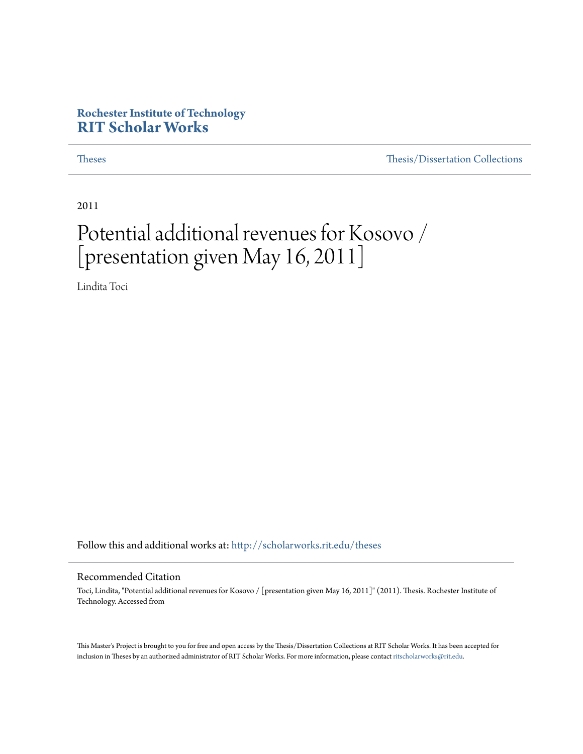#### **Rochester Institute of Technology [RIT Scholar Works](http://scholarworks.rit.edu?utm_source=scholarworks.rit.edu%2Ftheses%2F6998&utm_medium=PDF&utm_campaign=PDFCoverPages)**

[Theses](http://scholarworks.rit.edu/theses?utm_source=scholarworks.rit.edu%2Ftheses%2F6998&utm_medium=PDF&utm_campaign=PDFCoverPages) [Thesis/Dissertation Collections](http://scholarworks.rit.edu/etd_collections?utm_source=scholarworks.rit.edu%2Ftheses%2F6998&utm_medium=PDF&utm_campaign=PDFCoverPages)

2011

### Potential additional revenues for Kosovo / [presentation given May 16, 2011]

Lindita Toci

Follow this and additional works at: [http://scholarworks.rit.edu/theses](http://scholarworks.rit.edu/theses?utm_source=scholarworks.rit.edu%2Ftheses%2F6998&utm_medium=PDF&utm_campaign=PDFCoverPages)

#### Recommended Citation

Toci, Lindita, "Potential additional revenues for Kosovo / [presentation given May 16, 2011]" (2011). Thesis. Rochester Institute of Technology. Accessed from

This Master's Project is brought to you for free and open access by the Thesis/Dissertation Collections at RIT Scholar Works. It has been accepted for inclusion in Theses by an authorized administrator of RIT Scholar Works. For more information, please contact [ritscholarworks@rit.edu](mailto:ritscholarworks@rit.edu).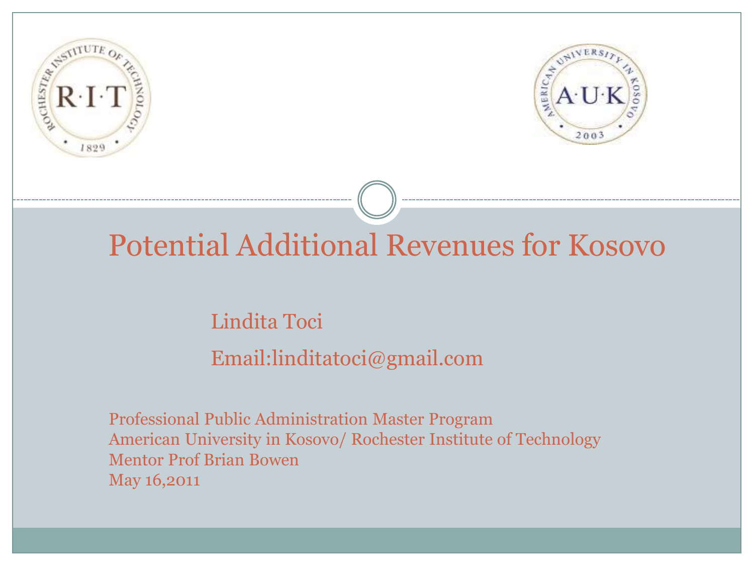



### Potential Additional Revenues for Kosovo

### Lindita Toci Email:linditatoci@gmail.com

 Professional Public Administration Master Program American University in Kosovo/ Rochester Institute of Technology Mentor Prof Brian Bowen May 16,2011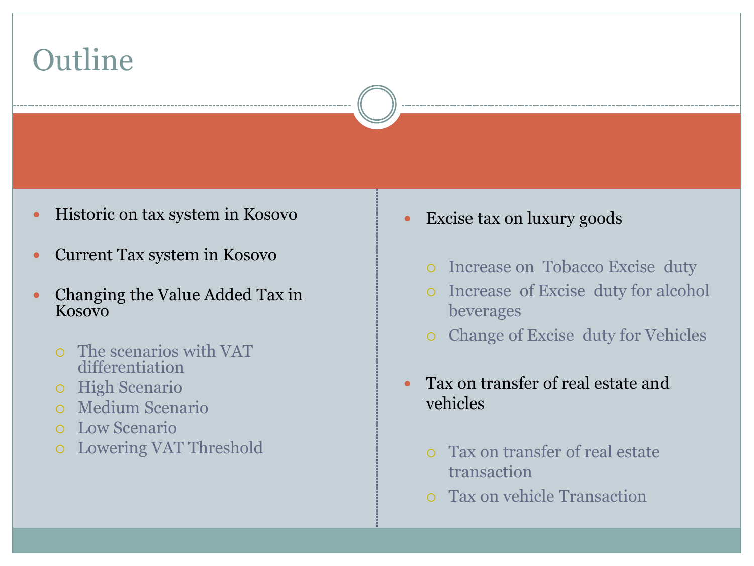

- Historic on tax system in Kosovo
- Current Tax system in Kosovo
- Changing the Value Added Tax in Kosovo
	- The scenarios with VAT differentiation
	- o High Scenario
	- Medium Scenario
	- Low Scenario
	- Lowering VAT Threshold
- Excise tax on luxury goods
	- o Increase on Tobacco Excise duty
	- Increase of Excise duty for alcohol beverages
	- Change of Excise duty for Vehicles
- Tax on transfer of real estate and vehicles
	- Tax on transfer of real estate transaction
	- Tax on vehicle Transaction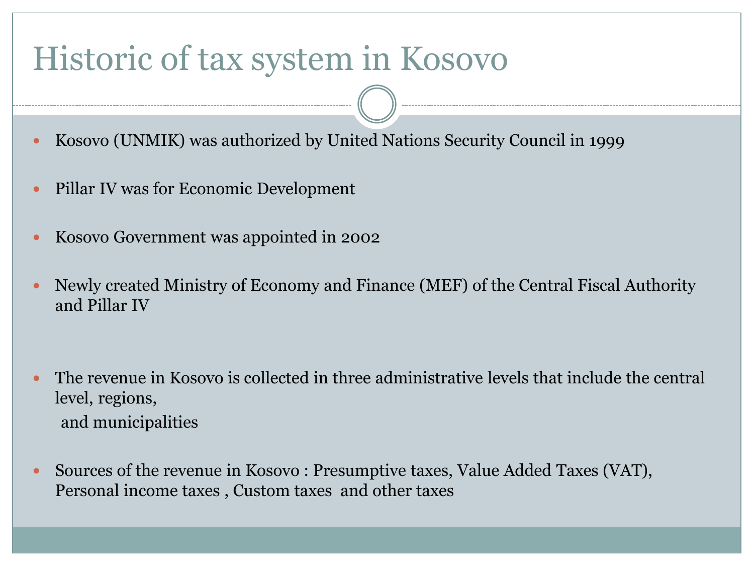### Historic of tax system in Kosovo

- Kosovo (UNMIK) was authorized by United Nations Security Council in 1999
- Pillar IV was for Economic Development
- Kosovo Government was appointed in 2002
- Newly created Ministry of Economy and Finance (MEF) of the Central Fiscal Authority and Pillar IV
- The revenue in Kosovo is collected in three administrative levels that include the central level, regions, and municipalities
- Sources of the revenue in Kosovo : Presumptive taxes, Value Added Taxes (VAT), Personal income taxes , Custom taxes and other taxes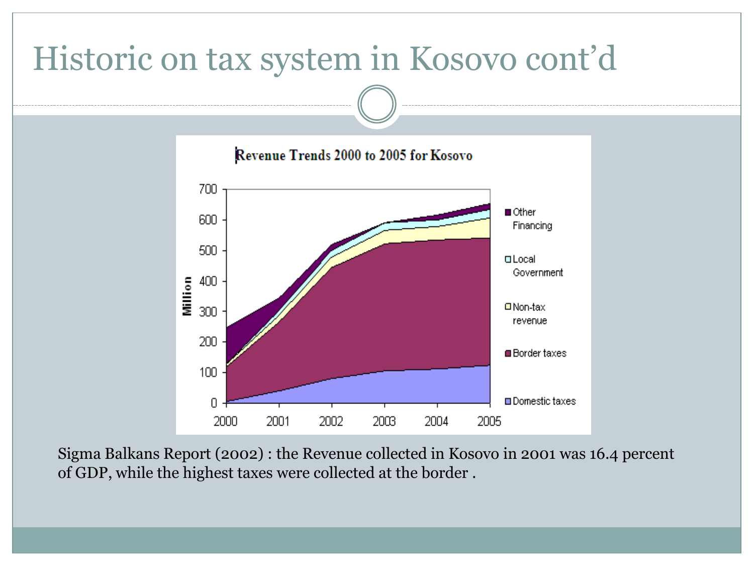# Historic on tax system in Kosovo cont'd



Sigma Balkans Report (2002) : the Revenue collected in Kosovo in 2001 was 16.4 percent of GDP, while the highest taxes were collected at the border .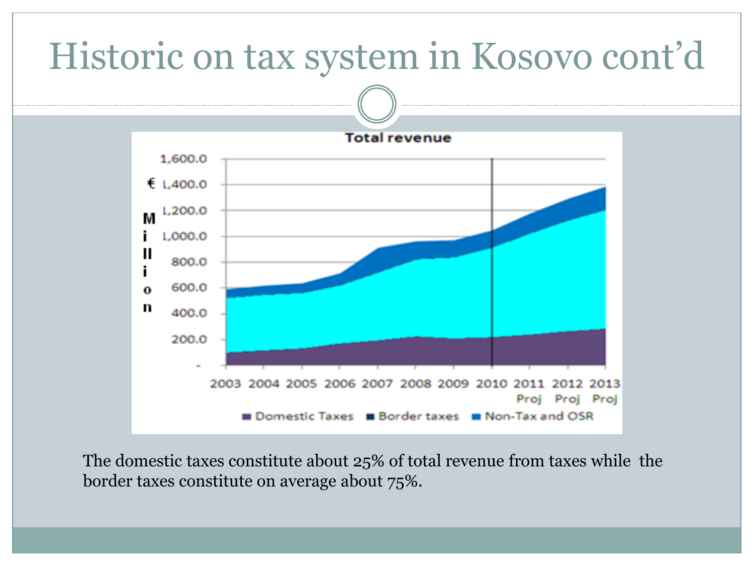

The domestic taxes constitute about 25% of total revenue from taxes while the border taxes constitute on average about 75%.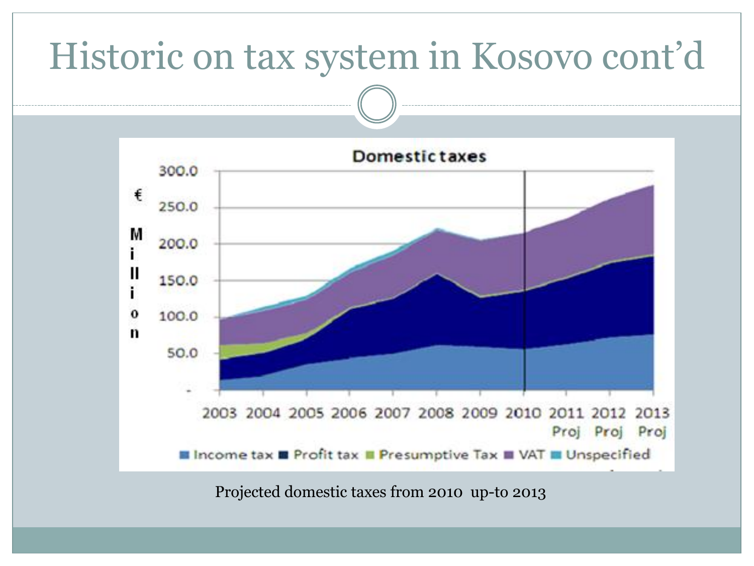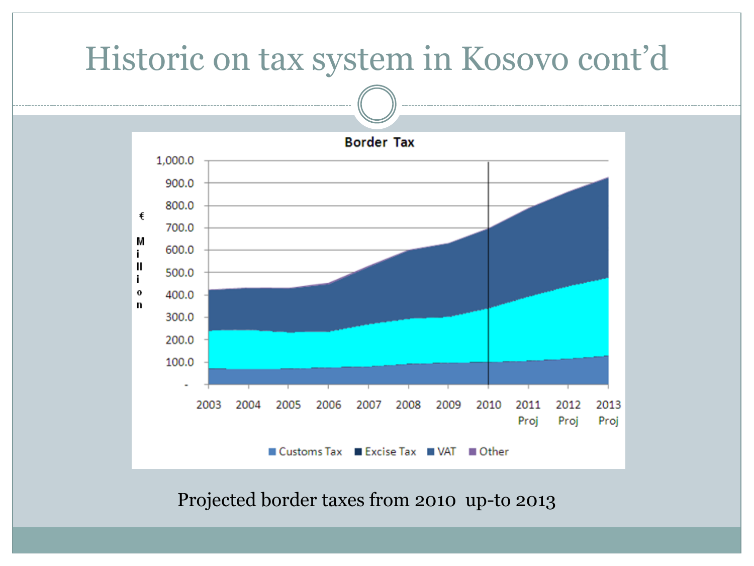

Projected border taxes from 2010 up-to 2013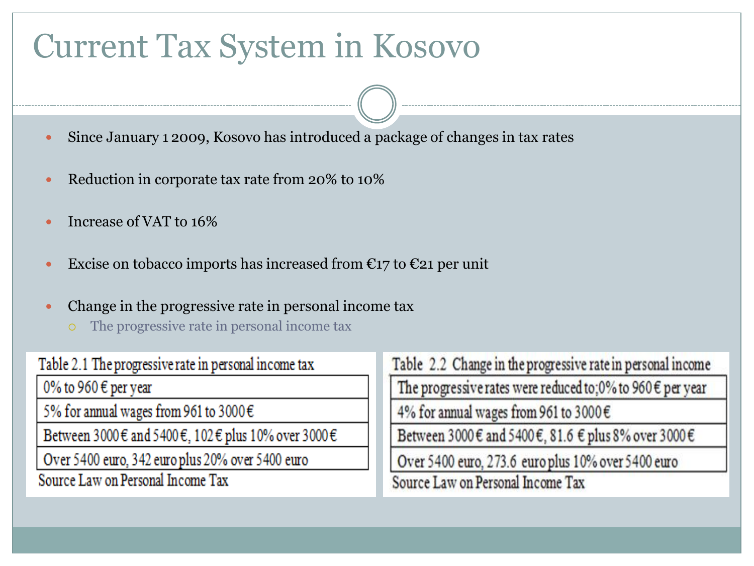### Current Tax System in Kosovo

- Since January 1 2009, Kosovo has introduced a package of changes in tax rates
- Reduction in corporate tax rate from 20% to 10%
- Increase of VAT to 16%
- Excise on tobacco imports has increased from  $\epsilon_{17}$  to  $\epsilon_{21}$  per unit
- Change in the progressive rate in personal income tax
	- The progressive rate in personal income tax

| Table 2.1 The progressive rate in personal income tax |
|-------------------------------------------------------|
| 0% to 960 € per year                                  |
| 5% for annual wages from 961 to 3000 $\in$            |
| Between 3000€ and 5400€, 102€ plus 10% over 3000€     |
| Over 5400 euro, 342 euro plus 20% over 5400 euro      |
| Source Law on Personal Income Tax                     |

Table 2.2 Change in the progressive rate in personal income The progressive rates were reduced to;0% to 960  $\epsilon$  per year 4% for annual wages from 961 to 3000€

Between 3000 € and 5400 €, 81.6 € plus 8% over 3000 €

Over 5400 euro, 273.6 euro plus 10% over 5400 euro

Source Law on Personal Income Tax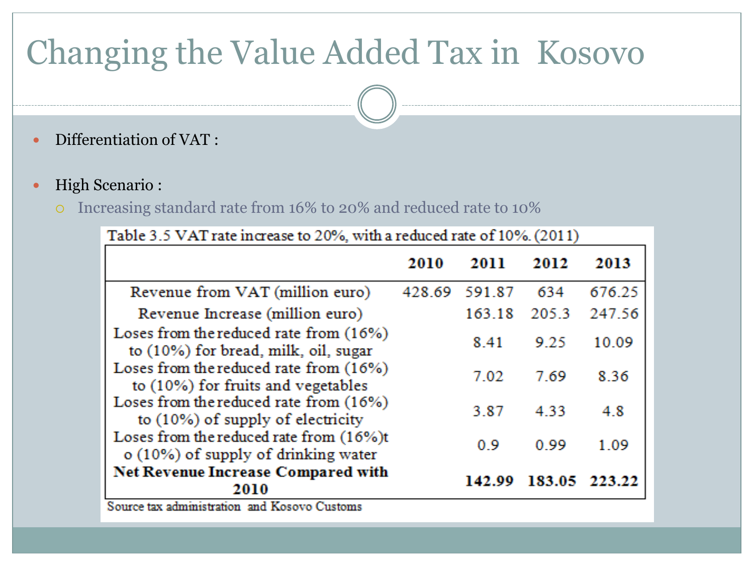# Changing the Value Added Tax in Kosovo

- Differentiation of VAT :
- High Scenario :
	- Increasing standard rate from 16% to 20% and reduced rate to 10%

|                                                                                | 2010   | 2011   | 2012   | 2013   |
|--------------------------------------------------------------------------------|--------|--------|--------|--------|
| Revenue from VAT (million euro)                                                | 428.69 | 591.87 | 634    | 676.25 |
| Revenue Increase (million euro)                                                |        | 163.18 | 205.3  | 247.56 |
| Loses from the reduced rate from (16%)<br>to (10%) for bread, milk, oil, sugar |        | 8.41   | 9.25   | 10.09  |
| Loses from the reduced rate from (16%)<br>to (10%) for fruits and vegetables   |        | 7.02   | 7.69   | 8.36   |
| Loses from the reduced rate from (16%)<br>to (10%) of supply of electricity    |        | 3.87   | 4.33   | 4.8    |
| Loses from the reduced rate from (16%)t<br>o (10%) of supply of drinking water |        | 0.9    | 0.99   | 1.09   |
| <b>Net Revenue Increase Compared with</b><br>2010                              |        | 142.99 | 183.05 | 223.22 |

Source tax administration and Kosovo Customs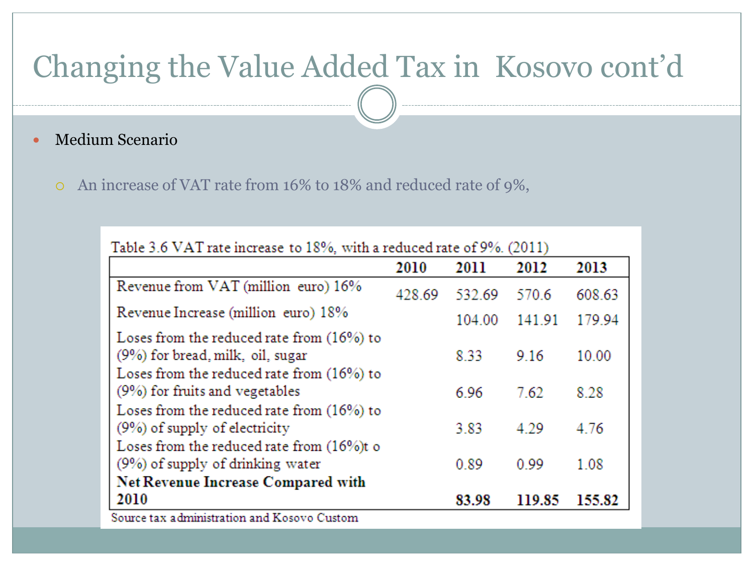### Changing the Value Added Tax in Kosovo cont'd

Medium Scenario

An increase of VAT rate from 16% to 18% and reduced rate of 9%,

| Table 3.6 VAT rate increase to 18%, with a reduced rate of 9%. (2011) |        |        |        |  |  |  |
|-----------------------------------------------------------------------|--------|--------|--------|--|--|--|
| 2010                                                                  | 2011   | 2012   | 2013   |  |  |  |
| 428.69                                                                | 532.69 | 570.6  | 608.63 |  |  |  |
|                                                                       | 104.00 | 141.91 | 179.94 |  |  |  |
|                                                                       | 8.33   | 9.16   | 10.00  |  |  |  |
|                                                                       | 6.96   | 7.62   | 8.28   |  |  |  |
|                                                                       | 3.83   | 4.29   | 4.76   |  |  |  |
|                                                                       | 0.89   | 0.99   | 1.08   |  |  |  |
|                                                                       |        |        |        |  |  |  |
|                                                                       | 83.98  | 119.85 | 155.82 |  |  |  |
|                                                                       |        |        |        |  |  |  |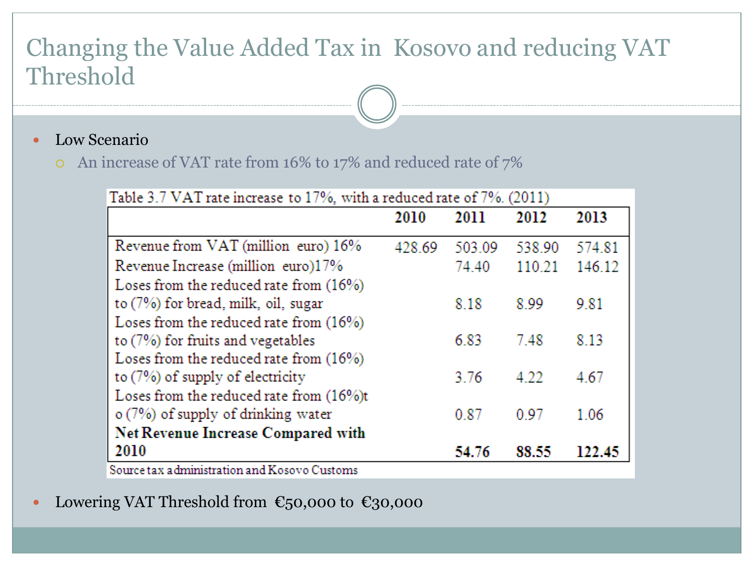### Changing the Value Added Tax in Kosovo and reducing VAT Threshold

- Low Scenario
	- An increase of VAT rate from 16% to 17% and reduced rate of 7%

|  | Table 3.7 VAT rate increase to 17%, with a reduced rate of 7%. (2011) - |  |
|--|-------------------------------------------------------------------------|--|
|--|-------------------------------------------------------------------------|--|

|                                              | 2010   | 2011   | 2012   | 2013   |
|----------------------------------------------|--------|--------|--------|--------|
| Revenue from VAT (million euro) 16%          | 428.69 | 503.09 | 538.90 | 574.81 |
| Revenue Increase (million euro)17%           |        | 74.40  | 110.21 | 146.12 |
| Loses from the reduced rate from (16%)       |        |        |        |        |
| to (7%) for bread, milk, oil, sugar          |        | 8.18   | 8.99   | 9.81   |
| Loses from the reduced rate from (16%)       |        |        |        |        |
| to (7%) for fruits and vegetables            |        | 6.83   | 7.48   | 8.13   |
| Loses from the reduced rate from (16%)       |        |        |        |        |
| to $(7%)$ of supply of electricity           |        | 3.76   | 4.22   | 4.67   |
| Loses from the reduced rate from (16%)t      |        |        |        |        |
| $\circ$ (7%) of supply of drinking water     |        | 0.87   | 0.97   | 1.06   |
| Net Revenue Increase Compared with           |        |        |        |        |
| 2010                                         |        | 54.76  | 88.55  | 122.45 |
| Source tax administration and Kosovo Customs |        |        |        |        |

• Lowering VAT Threshold from  $\epsilon$ 50,000 to  $\epsilon$ 30,000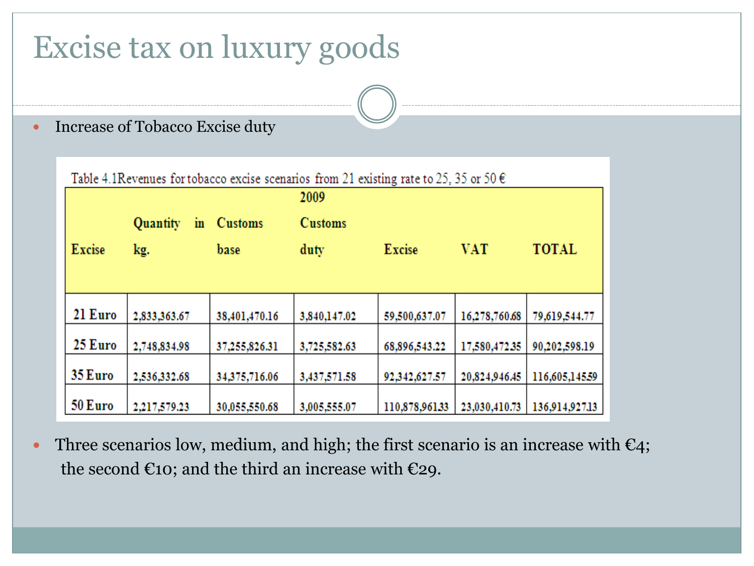### Excise tax on luxury goods

• Increase of Tobacco Excise duty

| Table 4.1 Revenues for tobacco excise scenarios from 21 existing rate to 25, 35 or 50 $\epsilon$ |                |                |                |               |               |                |  |
|--------------------------------------------------------------------------------------------------|----------------|----------------|----------------|---------------|---------------|----------------|--|
|                                                                                                  |                |                | 2009           |               |               |                |  |
|                                                                                                  | Quantity<br>in | <b>Customs</b> | <b>Customs</b> |               |               |                |  |
| <b>Excise</b>                                                                                    | kg.            | base           | duty           | <b>Excise</b> | <b>VAT</b>    | <b>TOTAL</b>   |  |
|                                                                                                  |                |                |                |               |               |                |  |
| 21 Euro                                                                                          | 2,833,363.67   | 38,401,470.16  | 3,840,147.02   | 59,500,637.07 | 16,278,760.68 | 79,619,544.77  |  |
| 25 Euro                                                                                          | 2,748,834.98   | 37,255,826.31  | 3,725,582.63   | 68,896,543.22 | 17,580,472.35 | 90,202,598.19  |  |
| 35 Euro                                                                                          | 2,536,332.68   | 34,375,716.06  | 3,437,571.58   | 92,342,627.57 | 20,824,946.45 | 116,605,145.59 |  |
| 50 Euro                                                                                          | 2,217,579.23   | 30,055,550.68  | 3,005,555.07   | 110,878,96133 | 23,030,410.73 | 136,914,927.13 |  |

Three scenarios low, medium, and high; the first scenario is an increase with  $\epsilon_4$ ; the second  $\epsilon$ 10; and the third an increase with  $\epsilon$ 29.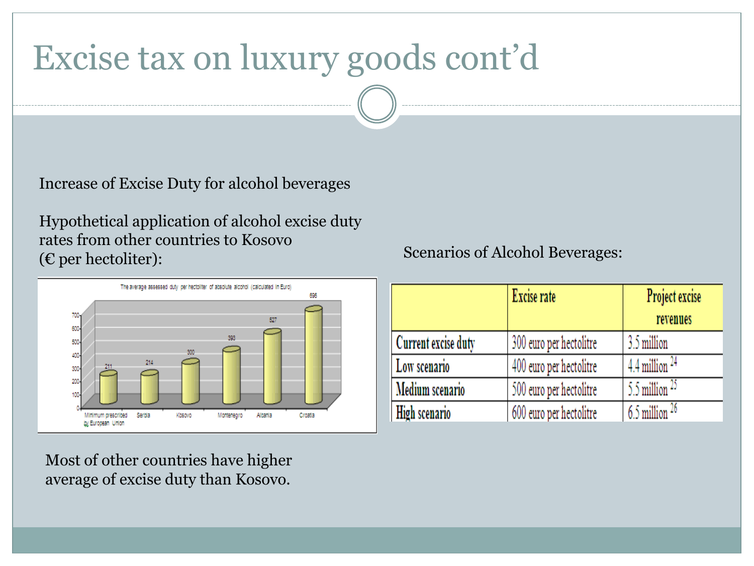# Excise tax on luxury goods cont'd

Increase of Excise Duty for alcohol beverages

Hypothetical application of alcohol excise duty rates from other countries to Kosovo (€ per hectoliter):



Most of other countries have higher average of excise duty than Kosovo.

#### Scenarios of Alcohol Beverages:

|                      | Excise rate             | Project excise        |
|----------------------|-------------------------|-----------------------|
|                      |                         | revenues              |
| Current excise duty  | 300 euro per hectolitre | 3.5 million           |
| Low scenario         | 400 euro per hectolitre | $4.4$ million $^{24}$ |
| Medium scenario      | 500 euro per hectolitre | 5.5 million $25$      |
| <b>High scenario</b> | 600 euro per hectolitre | $6.5$ million $26$    |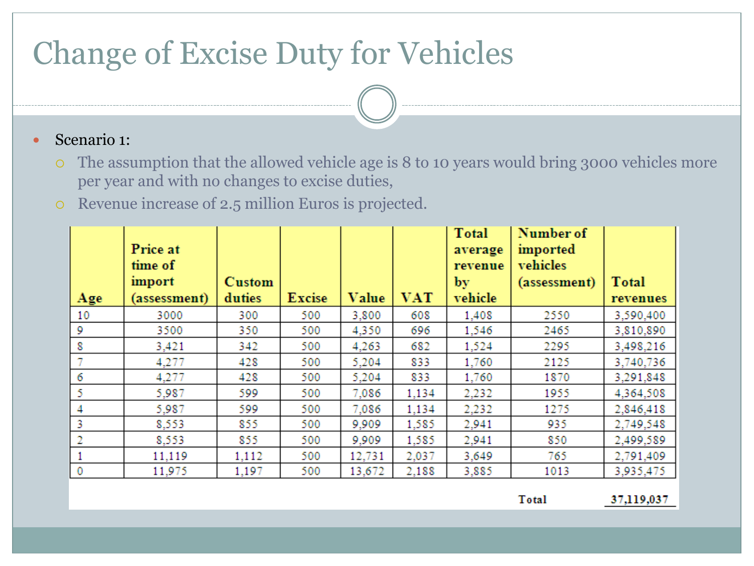### Change of Excise Duty for Vehicles

#### Scenario 1:

- The assumption that the allowed vehicle age is 8 to 10 years would bring 3000 vehicles more per year and with no changes to excise duties,
- Revenue increase of 2.5 million Euros is projected.

| Age         | Price at<br>time of<br>import<br>(assessment) | Custom<br>duties | <b>Excise</b> | Value  | <b>VAT</b> | <b>Total</b><br>average<br>revenue<br>by<br>vehicle | Number of<br>imported<br>vehicles<br>(assessment) | <b>Total</b><br>revenues |
|-------------|-----------------------------------------------|------------------|---------------|--------|------------|-----------------------------------------------------|---------------------------------------------------|--------------------------|
| 10          | 3000                                          | 300              | 500           | 3,800  | 608        | 1,408                                               | 2550                                              | 3,590,400                |
| 9           | 3500                                          | 350              | 500           | 4,350  | 696        | 1,546                                               | 2465                                              | 3,810,890                |
| 8           | 3,421                                         | 342              | 500           | 4.263  | 682        | 1,524                                               | 2295                                              | 3,498,216                |
|             | 4,277                                         | 428              | 500           | 5,204  | 833        | 1,760                                               | 2125                                              | 3,740,736                |
| 6           | 4,277                                         | 428              | 500           | 5,204  | 833        | 1,760                                               | 1870                                              | 3,291,848                |
| 5           | 5,987                                         | 599              | 500           | 7,086  | 1,134      | 2,232                                               | 1955                                              | 4,364,508                |
| 4           | 5,987                                         | 599              | 500           | 7,086  | 1,134      | 2,232                                               | 1275                                              | 2,846,418                |
| 3           | 8,553                                         | 855              | 500           | 9,909  | 1,585      | 2,941                                               | 935                                               | 2,749,548                |
| 2           | 8,553                                         | 855              | 500           | 9,909  | 1,585      | 2,941                                               | 850                                               | 2,499,589                |
|             | 11,119                                        | 1,112            | 500           | 12,731 | 2,037      | 3,649                                               | 765                                               | 2,791,409                |
| $\mathbf 0$ | 11,975                                        | 1,197            | 500           | 13,672 | 2,188      | 3,885                                               | 1013                                              | 3,935,475                |

Total

37,119,037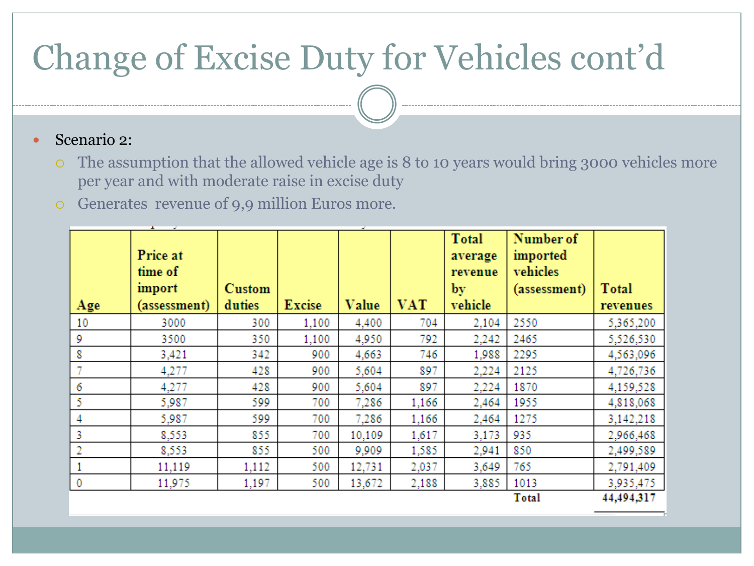# Change of Excise Duty for Vehicles cont'd

#### Scenario 2:

- The assumption that the allowed vehicle age is 8 to 10 years would bring 3000 vehicles more per year and with moderate raise in excise duty
- Generates revenue of 9,9 million Euros more.

| Age          | Price at<br>time of<br>import<br>(assessment) | <b>Custom</b><br>duties | <b>Excise</b> | Value  | <b>VAT</b> | <b>Total</b><br>average<br>revenue<br>by'<br>vehicle | Number of<br>imported<br>vehicles<br>(assessment) | <b>Total</b><br>revenues |
|--------------|-----------------------------------------------|-------------------------|---------------|--------|------------|------------------------------------------------------|---------------------------------------------------|--------------------------|
| 10           | 3000                                          | 300                     | 1,100         | 4,400  | 704        | 2,104                                                | 2550                                              | 5,365,200                |
| 9            | 3500                                          | 350                     | 1,100         | 4,950  | 792        | 2,242                                                | 2465                                              | 5,526,530                |
| 8            | 3,421                                         | 342                     | 900           | 4,663  | 746        | 1,988                                                | 2295                                              | 4,563,096                |
| $\tau$       | 4,277                                         | 428                     | 900           | 5,604  | 897        | 2,224                                                | 2125                                              | 4,726,736                |
| 6            | 4,277                                         | 428                     | 900           | 5,604  | 897        | 2,224                                                | 1870                                              | 4,159,528                |
| 5            | 5,987                                         | 599                     | 700           | 7,286  | 1,166      | 2,464                                                | 1955                                              | 4,818,068                |
| 4            | 5,987                                         | 599                     | 700           | 7,286  | 1,166      | 2,464                                                | 1275                                              | 3,142,218                |
| 3            | 8,553                                         | 855                     | 700           | 10,109 | 1,617      | 3,173                                                | 935                                               | 2,966,468                |
| 2            | 8,553                                         | 855                     | 500           | 9,909  | 1,585      | 2,941                                                | 850                                               | 2,499,589                |
| $\mathbf{1}$ | 11,119                                        | 1,112                   | 500           | 12,731 | 2,037      | 3,649                                                | 765                                               | 2,791,409                |
| $\mathbf 0$  | 11,975                                        | 1,197                   | 500           | 13,672 | 2,188      | 3,885                                                | 1013                                              | 3,935,475                |
|              |                                               |                         |               |        |            |                                                      | Total                                             | 44,494,317               |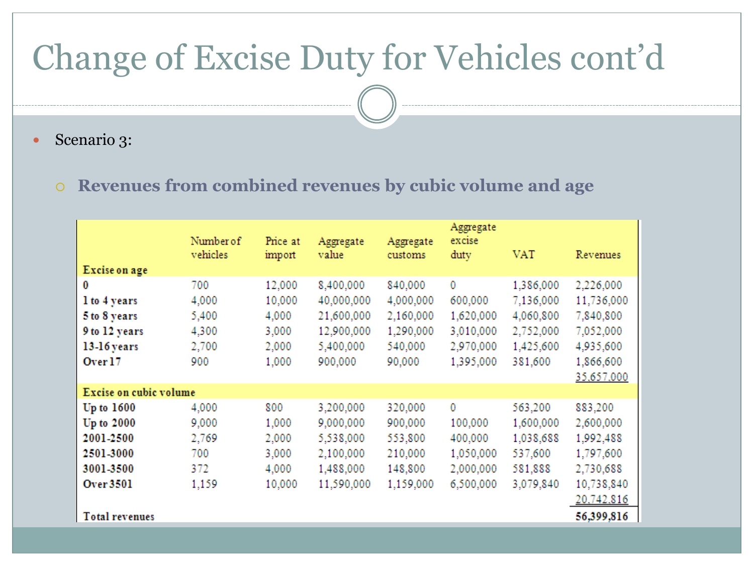### Change of Excise Duty for Vehicles cont'd

• Scenario 3:

#### **Revenues from combined revenues by cubic volume and age**

| Excise on age                                                                       | Number of<br>vehicles                          | Price at<br>import                                   | Aggregate<br>value                                                          | Aggregate<br>customs                                                | Aggregate<br>excise<br>duty                                      | VAT                                                                      | Revenues                                                                                  |
|-------------------------------------------------------------------------------------|------------------------------------------------|------------------------------------------------------|-----------------------------------------------------------------------------|---------------------------------------------------------------------|------------------------------------------------------------------|--------------------------------------------------------------------------|-------------------------------------------------------------------------------------------|
| 0<br>1 to 4 years<br>5 to 8 years<br>9 to 12 years<br>13-16 years<br>Over 17        | 700<br>4,000<br>5,400<br>4,300<br>2,700<br>900 | 12,000<br>10,000<br>4,000<br>3,000<br>2,000<br>1,000 | 8,400,000<br>40,000,000<br>21,600,000<br>12,900,000<br>5,400,000<br>900,000 | 840,000<br>4,000,000<br>2,160,000<br>1,290,000<br>540,000<br>90,000 | 0<br>600,000<br>1,620,000<br>3,010,000<br>2,970,000<br>1,395,000 | 1,386,000<br>7,136,000<br>4,060,800<br>2,752,000<br>1,425,600<br>381,600 | 2,226,000<br>11,736,000<br>7,840,800<br>7,052,000<br>4,935,600<br>1,866,600<br>35,657,000 |
| Excise on cubic volume                                                              |                                                |                                                      |                                                                             |                                                                     |                                                                  |                                                                          |                                                                                           |
| Up to 1600<br>Up to 2000<br>2001-2500<br>2501-3000<br>3001-3500<br><b>Over 3501</b> | 4,000<br>9,000<br>2,769<br>700<br>372<br>1,159 | 800<br>1,000<br>2,000<br>3,000<br>4,000<br>10,000    | 3,200,000<br>9,000,000<br>5,538,000<br>2,100,000<br>1,488,000<br>11,590,000 | 320,000<br>900,000<br>553,800<br>210,000<br>148,800<br>1,159,000    | 0<br>100,000<br>400,000<br>1,050,000<br>2,000,000<br>6,500,000   | 563,200<br>1,600,000<br>1,038,688<br>537,600<br>581,888<br>3,079,840     | 883,200<br>2,600,000<br>1,992,488<br>1,797,600<br>2,730,688<br>10,738,840<br>20,742,816   |
| <b>Total revenues</b>                                                               |                                                |                                                      |                                                                             |                                                                     |                                                                  |                                                                          | 56,399,816                                                                                |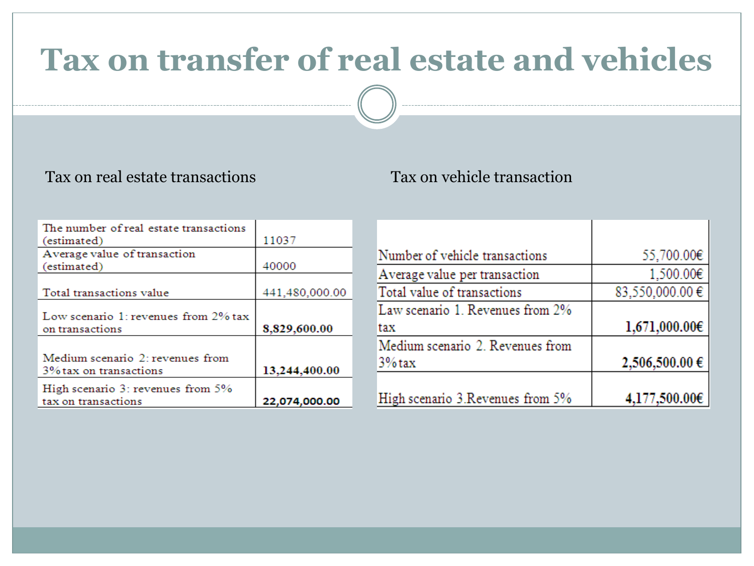### **Tax on transfer of real estate and vehicles**

#### Tax on real estate transactions Tax on vehicle transaction

| The number of real estate transactions |                |
|----------------------------------------|----------------|
| (estimated)                            | 11037          |
| Average value of transaction           |                |
| (estimated)                            | 40000          |
|                                        |                |
| Total transactions value               | 441,480,000.00 |
|                                        |                |
| Low scenario 1: revenues from 2% tax   |                |
| on transactions                        | 8,829,600.00   |
|                                        |                |
| Medium scenario 2: revenues from       |                |
| 3% tax on transactions                 | 13,244,400.00  |
| High scenario 3: revenues from 5%      |                |
| tax on transactions                    | 22,074,000.00  |

| Number of vehicle transactions    | 55,700.00€         |
|-----------------------------------|--------------------|
| Average value per transaction     | 1,500.00€          |
| Total value of transactions       | 83,550,000.00€     |
| Law scenario 1. Revenues from 2%  |                    |
| tax                               | $1,671,000.00 \in$ |
| Medium scenario 2. Revenues from  |                    |
| $3%$ tax                          | 2,506,500.00 €     |
|                                   |                    |
| High scenario 3. Revenues from 5% | 4,177,500.00€      |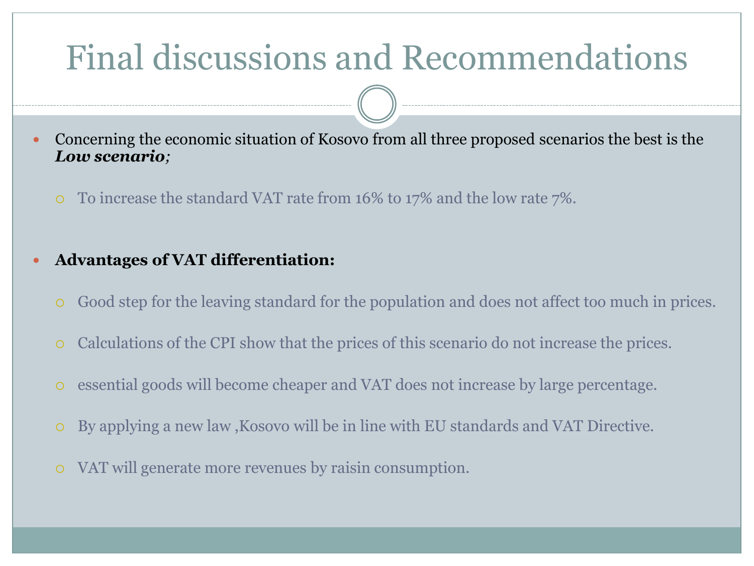### Final discussions and Recommendations

- Concerning the economic situation of Kosovo from all three proposed scenarios the best is the *Low scenario;*
	- To increase the standard VAT rate from 16% to 17% and the low rate 7%.
- **Advantages of VAT differentiation:**
	- Good step for the leaving standard for the population and does not affect too much in prices.
	- Calculations of the CPI show that the prices of this scenario do not increase the prices.
	- essential goods will become cheaper and VAT does not increase by large percentage.
	- By applying a new law ,Kosovo will be in line with EU standards and VAT Directive.
	- VAT will generate more revenues by raisin consumption.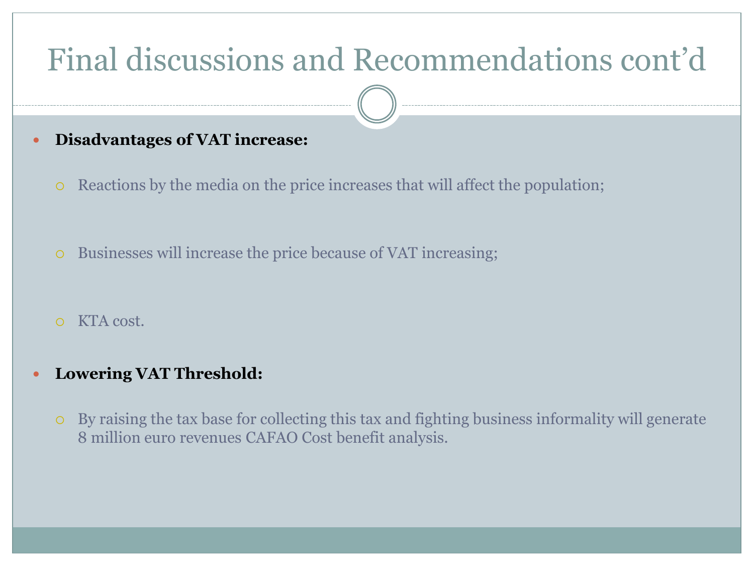### Final discussions and Recommendations cont'd

### **Disadvantages of VAT increase:**

- Reactions by the media on the price increases that will affect the population;
- Businesses will increase the price because of VAT increasing;
- KTA cost.

#### **Lowering VAT Threshold:**

 By raising the tax base for collecting this tax and fighting business informality will generate 8 million euro revenues CAFAO Cost benefit analysis.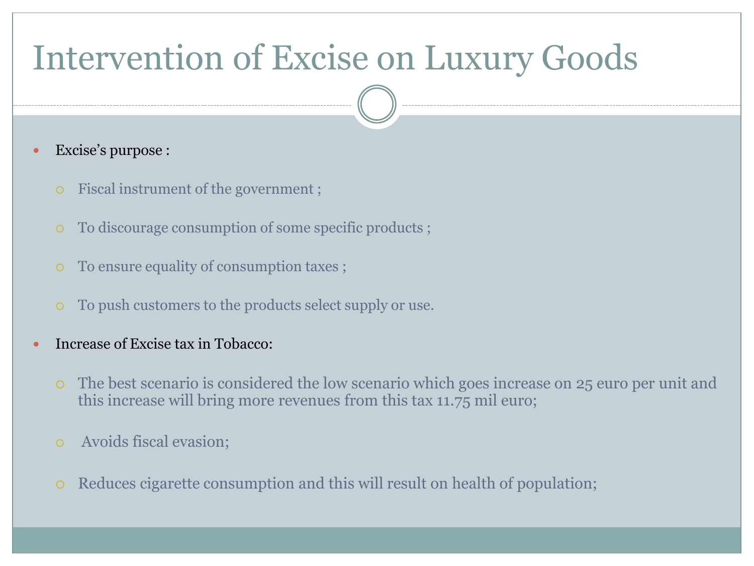# Intervention of Excise on Luxury Goods

- Excise's purpose :
	- Fiscal instrument of the government ;
	- To discourage consumption of some specific products ;
	- To ensure equality of consumption taxes ;
	- To push customers to the products select supply or use.
- Increase of Excise tax in Tobacco:
	- The best scenario is considered the low scenario which goes increase on 25 euro per unit and this increase will bring more revenues from this tax 11.75 mil euro;
	- Avoids fiscal evasion;
	- Reduces cigarette consumption and this will result on health of population;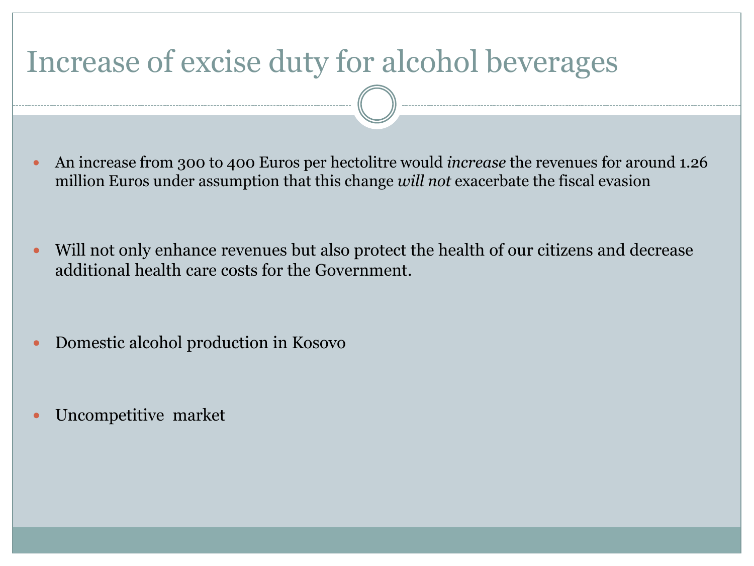### Increase of excise duty for alcohol beverages

- An increase from 300 to 400 Euros per hectolitre would *increase* the revenues for around 1.26 million Euros under assumption that this change *will not* exacerbate the fiscal evasion
- Will not only enhance revenues but also protect the health of our citizens and decrease additional health care costs for the Government.
- Domestic alcohol production in Kosovo
- Uncompetitive market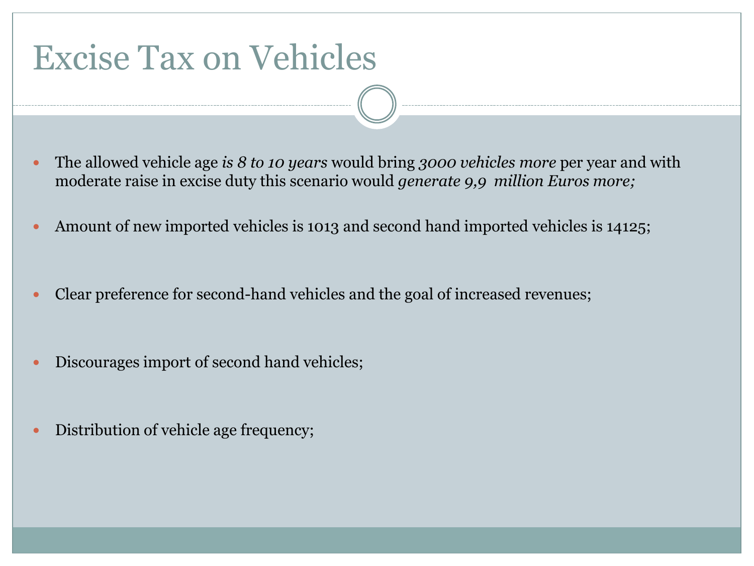### Excise Tax on Vehicles

- The allowed vehicle age *is 8 to 10 years* would bring *3000 vehicles more* per year and with moderate raise in excise duty this scenario would *generate 9,9 million Euros more;*
- Amount of new imported vehicles is 1013 and second hand imported vehicles is 14125;
- Clear preference for second-hand vehicles and the goal of increased revenues;
- Discourages import of second hand vehicles;
- Distribution of vehicle age frequency;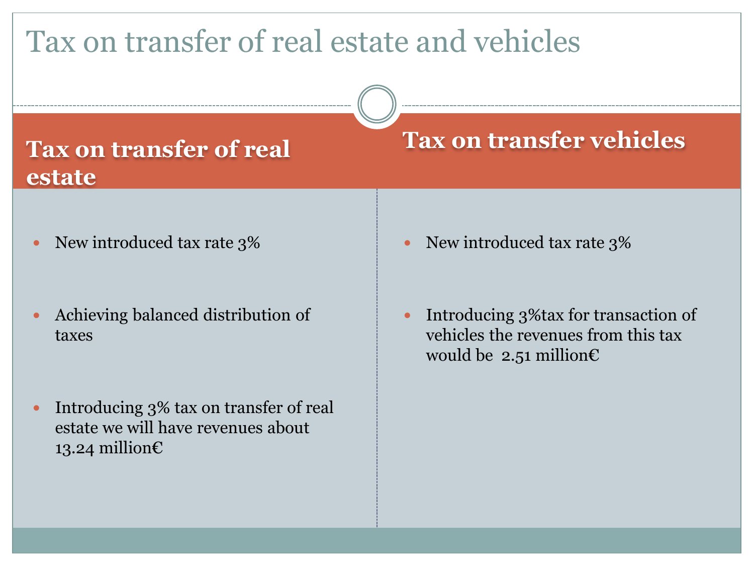### Tax on transfer of real estate and vehicles

### **Tax on transfer of real estate**

- New introduced tax rate 3%
- Achieving balanced distribution of taxes
- Introducing 3% tax on transfer of real estate we will have revenues about 13.24 million€

### **Tax on transfer vehicles**

- New introduced tax rate 3%
- Introducing 3%tax for transaction of vehicles the revenues from this tax would be 2.51 million $\epsilon$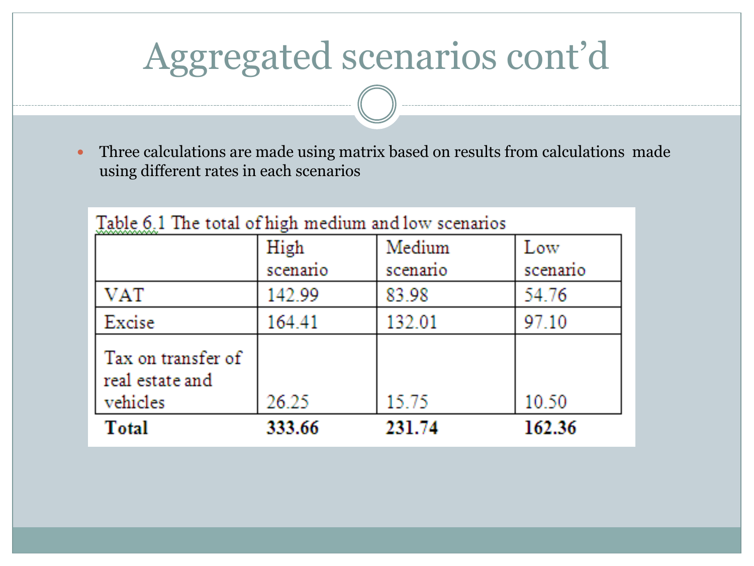# Aggregated scenarios cont'd

 Three calculations are made using matrix based on results from calculations made using different rates in each scenarios

|                                                   | High     | Medium   | Low     |
|---------------------------------------------------|----------|----------|---------|
|                                                   | scenario | scenario | scenano |
| <b>VAT</b>                                        | 142.99   | 83.98    | 54.76   |
| Excise                                            | 164.41   | 132.01   | 97.10   |
| Tax on transfer of<br>real estate and<br>vehicles | 26.25    | 15.75    | 10.50   |
| <b>Total</b>                                      | 333.66   | 231.74   | 162.36  |

 $T_{\rm eff}$  (  $\geq 4$  )  $T_{\rm eff}$  , and  $\geq 2$  (  $\geq 4$  ) and  $\geq 4$  (  $\geq 4$  ) and  $\geq 4$  (  $\geq 4$  ) and  $\geq 4$